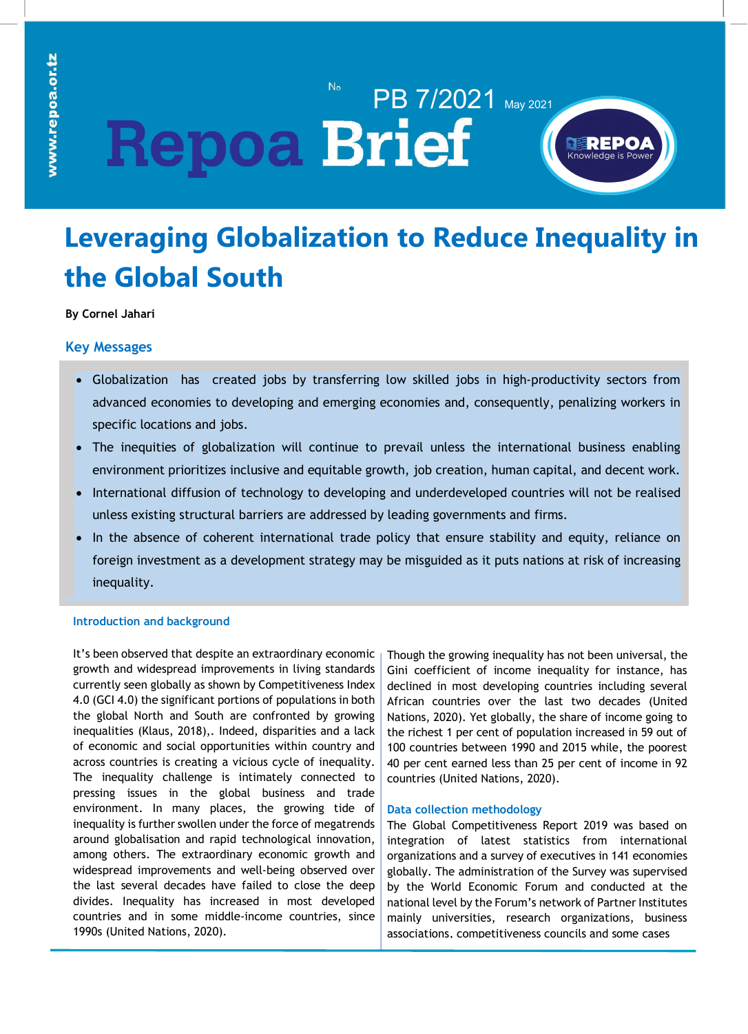# N<sub>o</sub> PB 7/2021 May 2021 **Repoa Brief**



# **Leveraging Globalization to Reduce Inequality in the Global South**

### **By Cornel Jahari**

## **Key Messages**

- Globalization has created jobs by transferring low skilled jobs in high-productivity sectors from advanced economies to developing and emerging economies and, consequently, penalizing workers in specific locations and jobs.
- The inequities of globalization will continue to prevail unless the international business enabling environment prioritizes inclusive and equitable growth, job creation, human capital, and decent work.
- International diffusion of technology to developing and underdeveloped countries will not be realised unless existing structural barriers are addressed by leading governments and firms.
- In the absence of coherent international trade policy that ensure stability and equity, reliance on foreign investment as a development strategy may be misguided as it puts nations at risk of increasing inequality.

### **Introduction and background**

It's been observed that despite an extraordinary economic growth and widespread improvements in living standards currently seen globally as shown by Competitiveness Index 4.0 (GCI 4.0) the significant portions of populations in both the global North and South are confronted by growing inequalities (Klaus, 2018),. Indeed, disparities and a lack of economic and social opportunities within country and across countries is creating a vicious cycle of inequality. The inequality challenge is intimately connected to pressing issues in the global business and trade environment. In many places, the growing tide of inequality is further swollen under the force of megatrends around globalisation and rapid technological innovation, among others. The extraordinary economic growth and widespread improvements and well-being observed over the last several decades have failed to close the deep divides. Inequality has increased in most developed countries and in some middle-income countries, since 1990s (United Nations, 2020).

Though the growing inequality has not been universal, the Gini coefficient of income inequality for instance, has declined in most developing countries including several African countries over the last two decades (United Nations, 2020). Yet globally, the share of income going to the richest 1 per cent of population increased in 59 out of 100 countries between 1990 and 2015 while, the poorest 40 per cent earned less than 25 per cent of income in 92 countries (United Nations, 2020).

#### **Data collection methodology**

The Global Competitiveness Report 2019 was based on integration of latest statistics from international organizations and a survey of executives in 141 economies globally. The administration of the Survey was supervised by the World Economic Forum and conducted at the national level by the Forum's network of Partner Institutes mainly universities, research organizations, business associations, competitiveness councils and some cases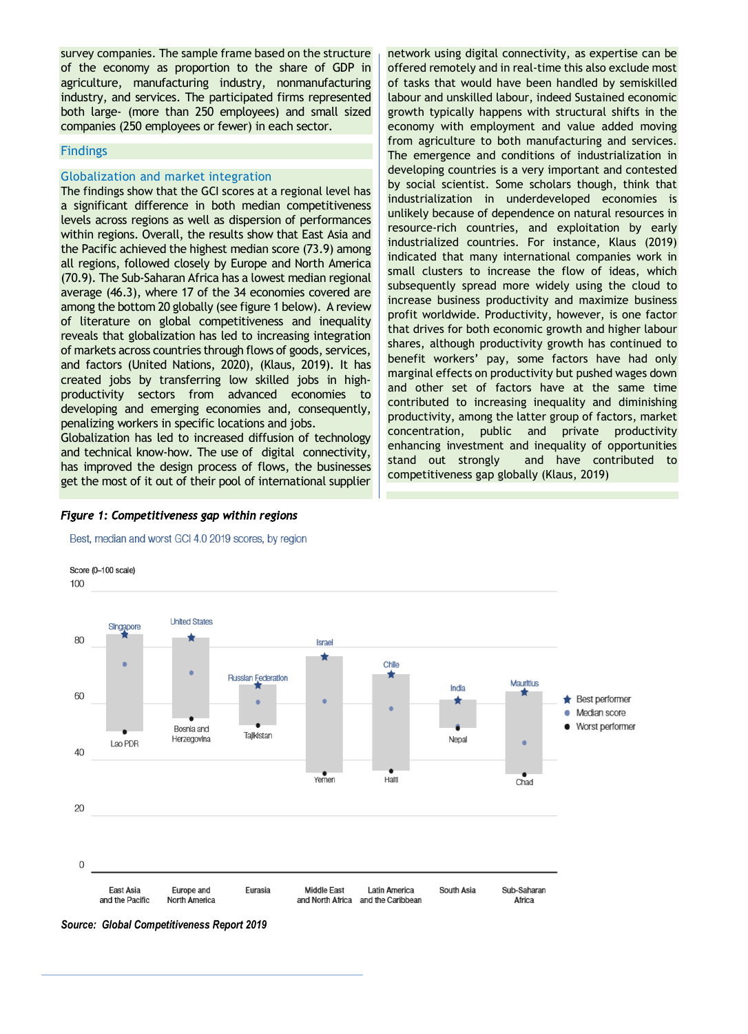**Figure 3: If made a profit in last financial year, 2018** companies (250 employees or fewer) in each sector. survey companies. The sample frame based on the structure of the economy as proportion to the share of GDP in agriculture, manufacturing industry, nonmanufacturing industry, and services. The participated firms represented both large- (more than 250 employees) and small sized

### **Findings**

#### Globalization and market integration

**26% Services** the Pacific achieved the highest median score (73.9) among **38% Production and Manufacturing** levels across regions as well as dispersion of performances **30% Trade** The findings show that the GCI scores at a regional level has average (46.3), where 17 of the 34 economies covered are subsequently spied a significant difference in both median competitiveness within regions. Overall, the results show that East Asia and all regions, followed closely by Europe and North America (70.9). The Sub-Saharan Africa has a lowest median regional among the bottom 20 globally (see figure 1 below). A review of literature on global competitiveness and inequality reveals that globalization has led to increasing integration of markets across countries through flows of goods, services, and factors (United Nations, 2020), (Klaus, 2019). It has created jobs by transferring low skilled jobs in highproductivity sectors from advanced economies to developing and emerging economies and, consequently, penalizing workers in specific locations and jobs.

Globalization has led to increased diffusion of technology and technical know-how. The use of digital connectivity, has improved the design process of flows, the businesses get the most of it out of their pool of international supplier

**53%** indicated that many international companies work in **43%** resource-rich countries, and exploitation by early **50%** industrialization in underdeveloped economies is **43%** developing countries is a very important and contested **0% 20% 40% 60% 80% 100%** small clusters to increase the flow of ideas, which network using digital connectivity, as expertise can be offered remotely and in real-time this also exclude most of tasks that would have been handled by semiskilled labour and unskilled labour, indeed Sustained economic growth typically happens with structural shifts in the economy with employment and value added moving from agriculture to both manufacturing and services. The emergence and conditions of industrialization in by social scientist. Some scholars though, think that unlikely because of dependence on natural resources in industrialized countries. For instance, Klaus (2019) subsequently spread more widely using the cloud to increase business productivity and maximize business profit worldwide. Productivity, however, is one factor that drives for both economic growth and higher labour shares, although productivity growth has continued to benefit workers' pay, some factors have had only marginal effects on productivity but pushed wages down and other set of factors have at the same time contributed to increasing inequality and diminishing productivity, among the latter group of factors, market concentration, public and private productivity enhancing investment and inequality of opportunities stand out strongly and have contributed to competitiveness gap globally (Klaus, 2019)

#### *Figure 1: Competitiveness gap within regions*



**37%**

Best, median and worst GCI 4.0 2019 scores, by region

*Source: Global Competitiveness Report 2019*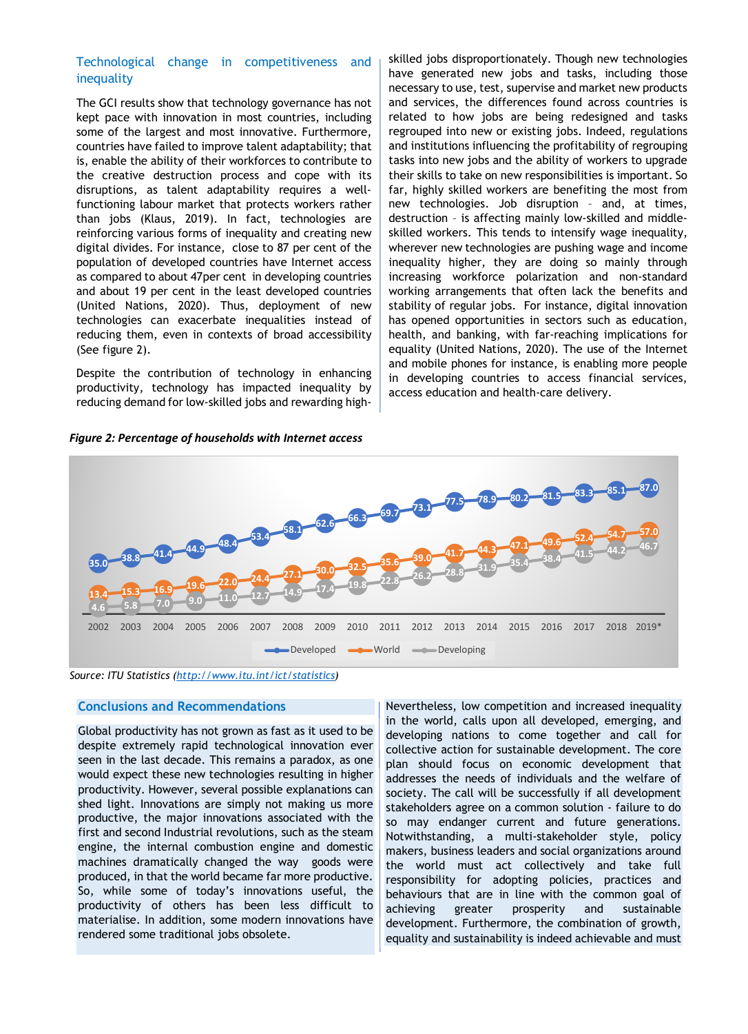#### Technological change in competitiveness and inequality

The GCI results show that technology governance has not kept pace with innovation in most countries, including some of the largest and most innovative. Furthermore, countries have failed to improve talent adaptability; that is, enable the ability of their workforces to contribute to the creative destruction process and cope with its disruptions, as talent adaptability requires a wellfunctioning labour market that protects workers rather than jobs (Klaus, 2019). In fact, technologies are reinforcing various forms of inequality and creating new digital divides. For instance, close to 87 per cent of the population of developed countries have Internet access as compared to about 47per cent in developing countries and about 19 per cent in the least developed countries (United Nations, 2020). Thus, deployment of new technologies can exacerbate inequalities instead of reducing them, even in contexts of broad accessibility (See figure 2).

Despite the contribution of technology in enhancing productivity, technology has impacted inequality by reducing demand for low-skilled jobs and rewarding high-

*Figure 2: Percentage of households with Internet access*

skilled jobs disproportionately. Though new technologies have generated new jobs and tasks, including those necessary to use, test, supervise and market new products and services, the differences found across countries is related to how jobs are being redesigned and tasks regrouped into new or existing jobs. Indeed, regulations and institutions influencing the profitability of regrouping tasks into new jobs and the ability of workers to upgrade their skills to take on new responsibilities is important. So far, highly skilled workers are benefiting the most from new technologies. Job disruption – and, at times, destruction – is affecting mainly low-skilled and middleskilled workers. This tends to intensify wage inequality, wherever new technologies are pushing wage and income inequality higher, they are doing so mainly through increasing workforce polarization and non-standard working arrangements that often lack the benefits and stability of regular jobs. For instance, digital innovation has opened opportunities in sectors such as education, health, and banking, with far-reaching implications for equality (United Nations, 2020). The use of the Internet and mobile phones for instance, is enabling more people in developing countries to access financial services, access education and health-care delivery.



*Source: ITU Statistics (http://www.itu.int/ict/statistics)*

#### **Conclusions and Recommendations**

Global productivity has not grown as fast as it used to be despite extremely rapid technological innovation ever seen in the last decade. This remains a paradox, as one would expect these new technologies resulting in higher productivity. However, several possible explanations can shed light. Innovations are simply not making us more productive, the major innovations associated with the first and second Industrial revolutions, such as the steam engine, the internal combustion engine and domestic machines dramatically changed the way goods were produced, in that the world became far more productive. So, while some of today's innovations useful, the productivity of others has been less difficult to materialise. In addition, some modern innovations have rendered some traditional jobs obsolete.

Nevertheless, low competition and increased inequality in the world, calls upon all developed, emerging, and developing nations to come together and call for collective action for sustainable development. The core plan should focus on economic development that addresses the needs of individuals and the welfare of society. The call will be successfully if all development stakeholders agree on a common solution - failure to do so may endanger current and future generations. Notwithstanding, a multi-stakeholder style, policy makers, business leaders and social organizations around the world must act collectively and take full responsibility for adopting policies, practices and behaviours that are in line with the common goal of achieving greater prosperity and sustainable development. Furthermore, the combination of growth, equality and sustainability is indeed achievable and must